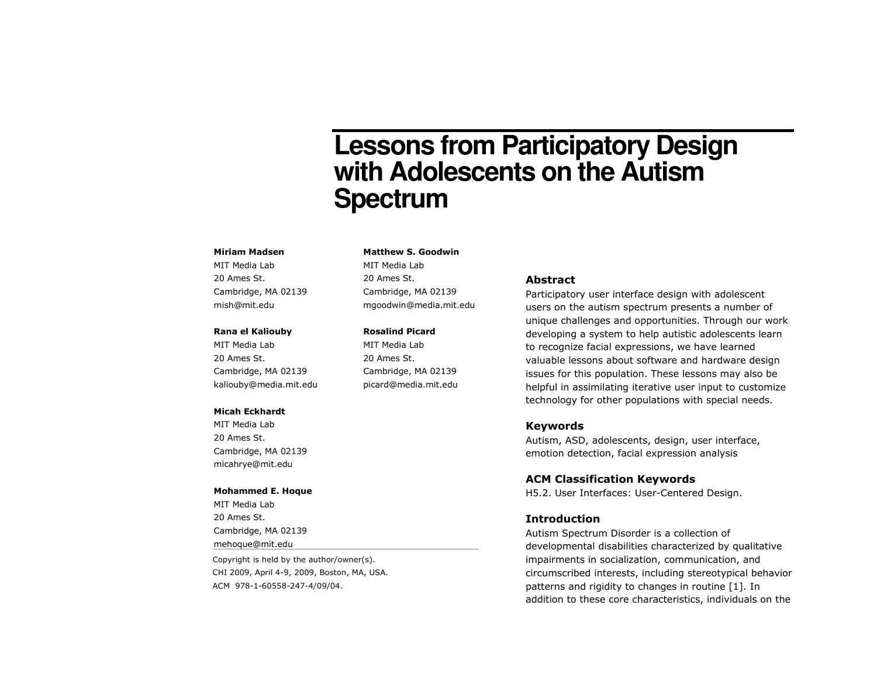# **Lessons from Participatory Design with Adolescents on the Autism Spectrum**

#### Miriam Madsen

MIT Media Lab 20 Ames St. Cambridge, MA 02139 mish@mit.edu

## Rana el Kaliouby

MIT Media Lab 20 Ames St. Cambridge, MA 02139 kaliouby@media.mit.edu

#### Micah Eckhardt

MIT Media Lab 20 Ames St. Cambridge, MA 02139 micahrye@mit.edu

#### Mohammed E. Hoque

MIT Media Lab 20 Ames St. Cambridge, MA 02139 mehoque@mit.edu

Copyright is held by the author/owner(s). CHI 2009, April 4-9, 2009, Boston, MA, USA. ACM 978-1-60558-247-4/09/04.

# Matthew S. Goodwin

MIT Media Lab 20 Ames St. Cambridge, MA 02139 mgoodwin@media.mit.edu

#### Rosalind Picard

MIT Media Lab 20 Ames St. Cambridge, MA 02139 picard@media.mit.edu

#### Abstract

Participatory user interface design with adolescent users on the autism spectrum presents a number of unique challenges and opportunities. Through our work developing a system to help autistic adolescents learn to recognize facial expressions, we have learned valuable lessons about software and hardware design issues for this population. These lessons may also be helpful in assimilating iterative user input to customize technology for other populations with special needs.

## Keywords

 Autism, ASD, adolescents, design, user interface, emotion detection, facial expression analysis

## ACM Classification Keywords

H5.2. User Interfaces: User-Centered Design.

#### Introduction

 Autism Spectrum Disorder is a collection of developmental disabilities characterized by qualitative impairments in socialization, communication, and circumscribed interests, including stereotypical behavior patterns and rigidity to changes in routine [1]. Inaddition to these core characteristics, individuals on the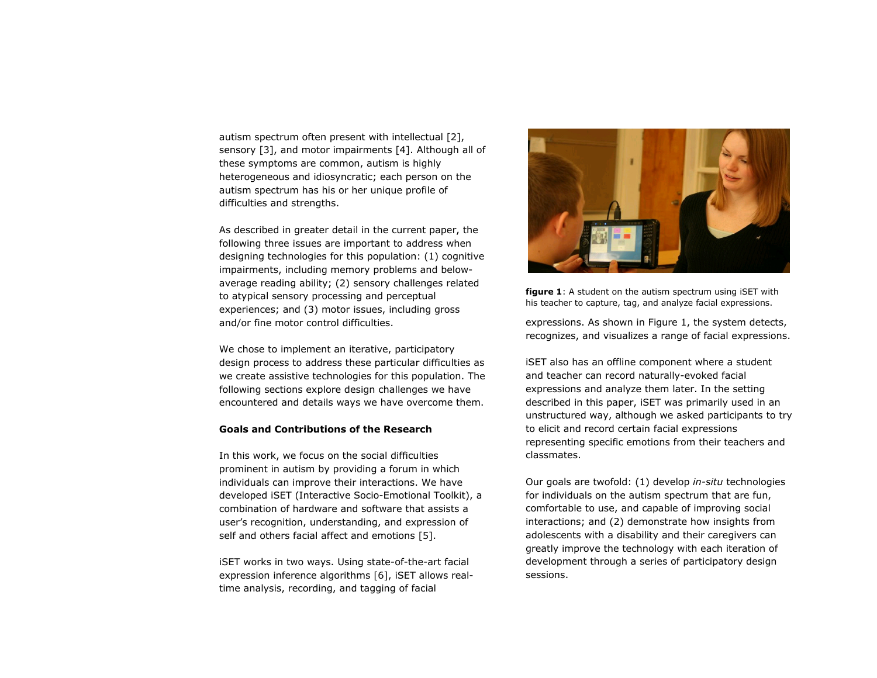autism spectrum often present with intellectual [2], sensory [3], and motor impairments [4]. Although all of these symptoms are common, autism is highly heterogeneous and idiosyncratic; each person on theautism spectrum has his or her unique profile of difficulties and strengths.

As described in greater detail in the current paper, the following three issues are important to address when designing technologies for this population: (1) cognitive impairments, including memory problems and belowaverage reading ability; (2) sensory challenges related to atypical sensory processing and perceptual experiences; and (3) motor issues, including gross and/or fine motor control difficulties.

We chose to implement an iterative, participatory design process to address these particular difficulties as we create assistive technologies for this population. The following sections explore design challenges we have encountered and details ways we have overcome them.

## Goals and Contributions of the Research

In this work, we focus on the social difficulties prominent in autism by providing a forum in which individuals can improve their interactions. We have developed iSET (Interactive Socio-Emotional Toolkit), a combination of hardware and software that assists a user's recognition, understanding, and expression of self and others facial affect and emotions [5].

iSET works in two ways. Using state-of-the-art facial expression inference algorithms [6], iSET allows realtime analysis, recording, and tagging of facial



**figure 1:** A student on the autism spectrum using iSET with his teacher to capture, tag, and analyze facial expressions.

expressions. As shown in Figure 1, the system detects, recognizes, and visualizes a range of facial expressions.

iSET also has an offline component where a student and teacher can record naturally-evoked facial expressions and analyze them later. In the setting described in this paper, iSET was primarily used in an unstructured way, although we asked participants to try to elicit and record certain facial expressions representing specific emotions from their teachers and classmates.

Our goals are twofold: (1) develop in-situ technologies for individuals on the autism spectrum that are fun, comfortable to use, and capable of improving socialinteractions; and (2) demonstrate how insights from adolescents with a disability and their caregivers can greatly improve the technology with each iteration of development through a series of participatory design sessions.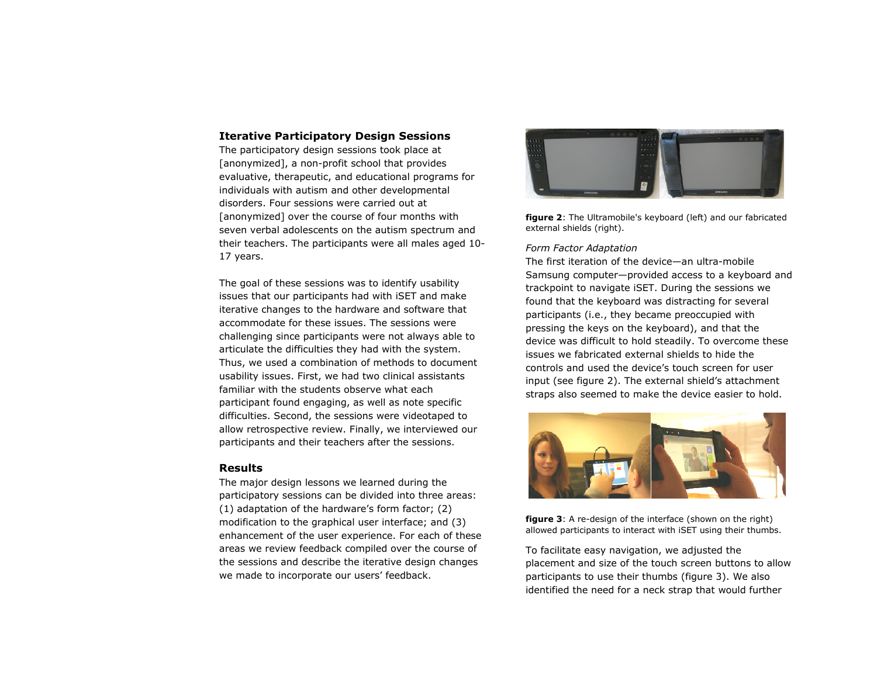## Iterative Participatory Design Sessions

The participatory design sessions took place at [anonymized], a non-profit school that provides evaluative, therapeutic, and educational programs for individuals with autism and other developmental disorders. Four sessions were carried out at [anonymized] over the course of four months with seven verbal adolescents on the autism spectrum and their teachers. The participants were all males aged 10-17 years.

The goal of these sessions was to identify usability issues that our participants had with iSET and make iterative changes to the hardware and software thataccommodate for these issues. The sessions were challenging since participants were not always able to articulate the difficulties they had with the system. Thus, we used a combination of methods to document usability issues. First, we had two clinical assistants familiar with the students observe what each participant found engaging, as well as note specific difficulties. Second, the sessions were videotaped to allow retrospective review. Finally, we interviewed our participants and their teachers after the sessions.

## Results

 The major design lessons we learned during the participatory sessions can be divided into three areas: (1) adaptation of the hardware's form factor; (2) modification to the graphical user interface; and (3) enhancement of the user experience. For each of these areas we review feedback compiled over the course of the sessions and describe the iterative design changes we made to incorporate our users' feedback.



figure 2: The Ultramobile's keyboard (left) and our fabricated external shields (right).

## Form Factor Adaptation

 The first iteration of the device—an ultra-mobile Samsung computer—provided access to a keyboard and trackpoint to navigate iSET. During the sessions we found that the keyboard was distracting for severalparticipants (i.e., they became preoccupied with pressing the keys on the keyboard), and that the device was difficult to hold steadily. To overcome these issues we fabricated external shields to hide the controls and used the device's touch screen for user input (see figure 2). The external shield's attachment straps also seemed to make the device easier to hold.



**figure 3**: A re-design of the interface (shown on the right) allowed participants to interact with iSET using their thumbs.

To facilitate easy navigation, we adjusted the placement and size of the touch screen buttons to allow participants to use their thumbs (figure 3). We also identified the need for a neck strap that would further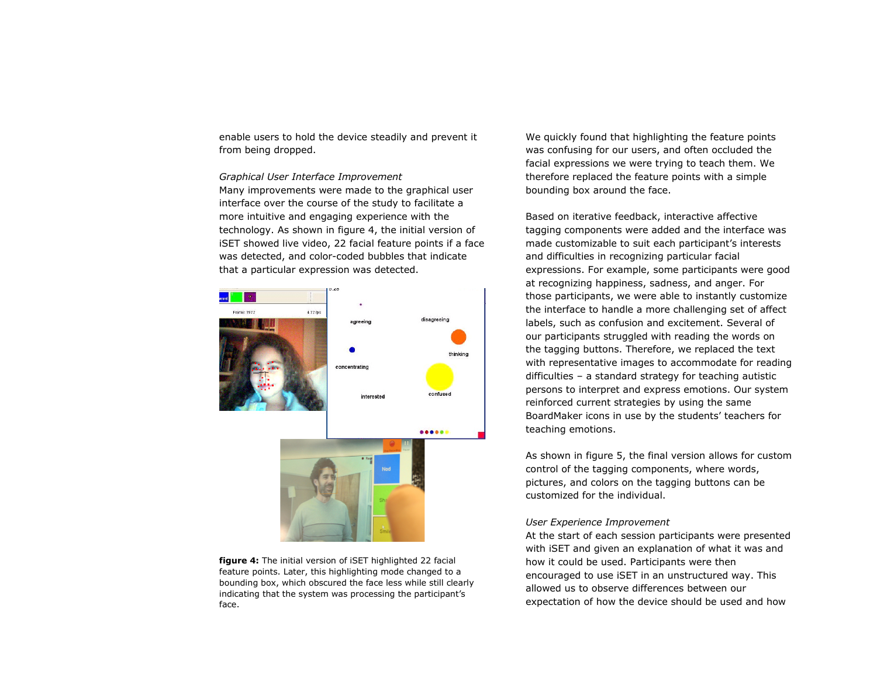enable users to hold the device steadily and prevent it from being dropped.

Graphical User Interface Improvement Many improvements were made to the graphical user interface over the course of the study to facilitate a more intuitive and engaging experience with the technology. As shown in figure 4, the initial version of iSET showed live video, 22 facial feature points if a face was detected, and color-coded bubbles that indicatethat a particular expression was detected.



figure 4: The initial version of iSET highlighted 22 facial feature points. Later, this highlighting mode changed to a bounding box, which obscured the face less while still clearly indicating that the system was processing the participant's face.

We quickly found that highlighting the feature points was confusing for our users, and often occluded the facial expressions we were trying to teach them. We therefore replaced the feature points with a simplebounding box around the face.

Based on iterative feedback, interactive affective tagging components were added and the interface was made customizable to suit each participant's interests and difficulties in recognizing particular facial expressions. For example, some participants were good at recognizing happiness, sadness, and anger. For those participants, we were able to instantly customize the interface to handle a more challenging set of affect labels, such as confusion and excitement. Several of our participants struggled with reading the words on the tagging buttons. Therefore, we replaced the text with representative images to accommodate for reading difficulties – a standard strategy for teaching autistic persons to interpret and express emotions. Our system reinforced current strategies by using the same BoardMaker icons in use by the students' teachers for teaching emotions.

As shown in figure 5, the final version allows for custom control of the tagging components, where words, pictures, and colors on the tagging buttons can be customized for the individual.

## User Experience Improvement

 At the start of each session participants were presented with iSET and given an explanation of what it was and how it could be used. Participants were then encouraged to use iSET in an unstructured way. Thisallowed us to observe differences between our expectation of how the device should be used and how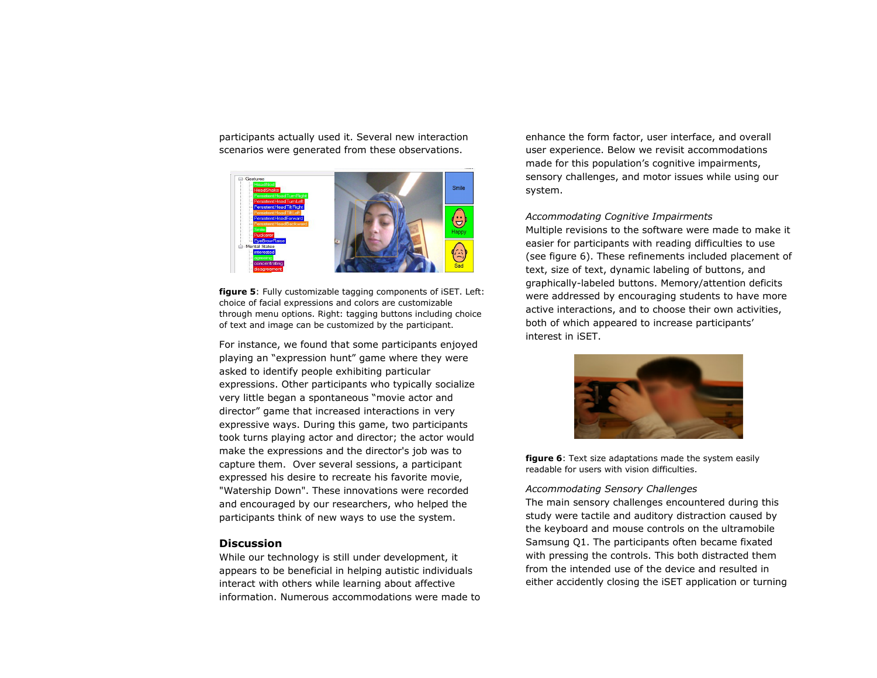participants actually used it. Several new interaction scenarios were generated from these observations.



figure 5: Fully customizable tagging components of iSET. Left: choice of facial expressions and colors are customizable through menu options. Right: tagging buttons including choice of text and image can be customized by the participant.

For instance, we found that some participants enjoyed playing an "expression hunt" game where they were asked to identify people exhibiting particular expressions. Other participants who typically socialize very little began a spontaneous "movie actor and director" game that increased interactions in very expressive ways. During this game, two participants took turns playing actor and director; the actor would make the expressions and the director's job was to capture them. Over several sessions, a participant expressed his desire to recreate his favorite movie, "Watership Down". These innovations were recorded and encouraged by our researchers, who helped the participants think of new ways to use the system.

## **Discussion**

 While our technology is still under development, it appears to be beneficial in helping autistic individuals interact with others while learning about affectiveinformation. Numerous accommodations were made to

enhance the form factor, user interface, and overall user experience. Below we revisit accommodations made for this population's cognitive impairments, sensory challenges, and motor issues while using our system.

## Accommodating Cognitive Impairments

 Multiple revisions to the software were made to make it easier for participants with reading difficulties to use (see figure 6). These refinements included placement of text, size of text, dynamic labeling of buttons, and graphically-labeled buttons. Memory/attention deficits were addressed by encouraging students to have more active interactions, and to choose their own activities, both of which appeared to increase participants' interest in iSET.



**figure 6:** Text size adaptations made the system easily readable for users with vision difficulties.

#### Accommodating Sensory Challenges

 The main sensory challenges encountered during this study were tactile and auditory distraction caused by the keyboard and mouse controls on the ultramobile Samsung Q1. The participants often became fixated with pressing the controls. This both distracted them from the intended use of the device and resulted ineither accidently closing the iSET application or turning